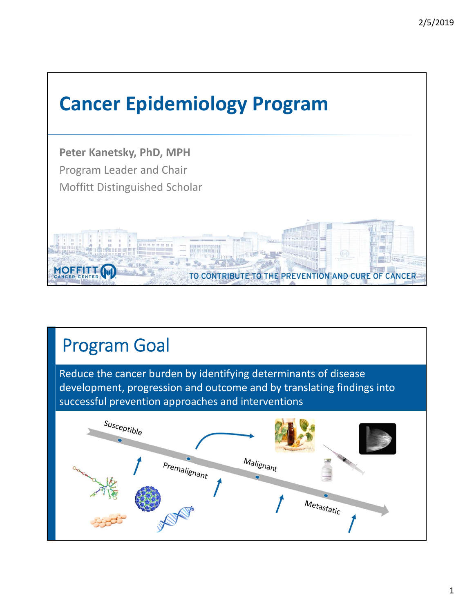

## Program Goal

Reduce the cancer burden by identifying determinants of disease development, progression and outcome and by translating findings into successful prevention approaches and interventions

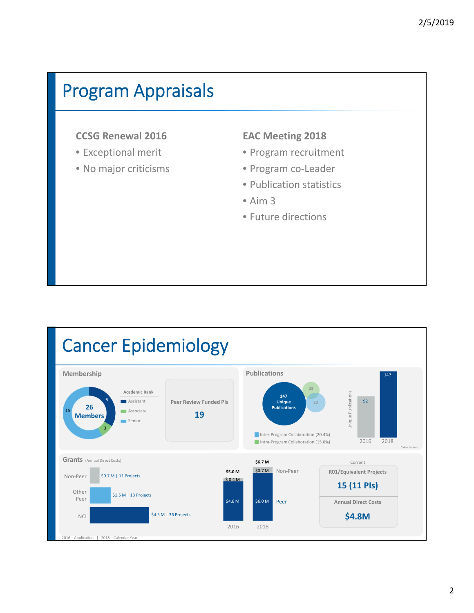### Program Appraisals

#### **CCSG Renewal 2016**

- Exceptional merit
- No major criticisms

#### **EAC Meeting 2018**

- Program recruitment
- Program co‐Leader
- Publication statistics
- Aim 3
- Future directions

#### Cancer Epidemiology **Publications Membership** 147 23 **Academic Rank** Jnique Publications Unique Publications **147** 92 8 **Assistant Peer Review Funded PIs Unique Publications** 30 **26** 15 **Associate 19 Members** Senior 3 Inter-Program Collaboration (20.4%) Intra-Program Collaboration (15.6%) 2016 2018 Calendar Year **Grants** (Annual Direct Costs) **\$6.7 M** Current \$0.7 M Non‐Peer **R01/Equivalent Projects \$5.0 M**

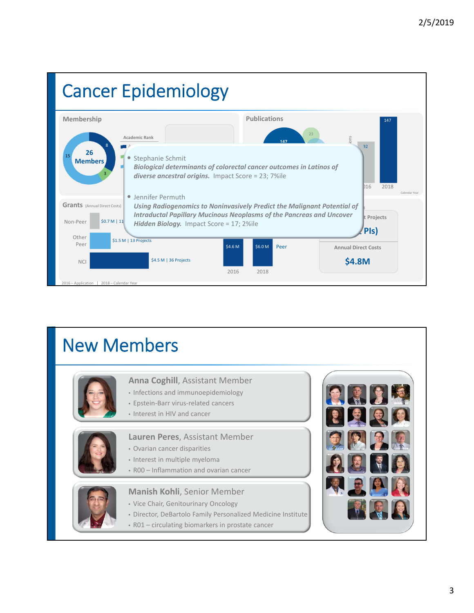

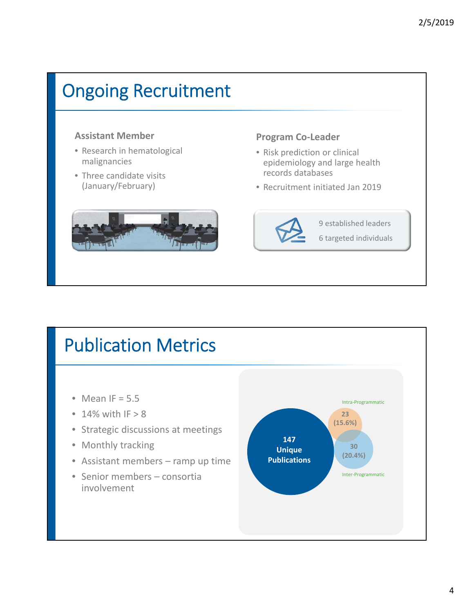# Ongoing Recruitment

#### **Assistant Member**

- Research in hematological malignancies
- Three candidate visits (January/February)



#### **Program Co‐Leader**

- Risk prediction or clinical epidemiology and large health records databases
- Recruitment initiated Jan 2019



9 established leaders 6 targeted individuals

### • Mean IF =  $5.5$  $\cdot$  14% with IF > 8 • Strategic discussions at meetings • Monthly tracking • Assistant members – ramp up time • Senior members – consortia involvement Publication Metrics **147 Unique Publications 23 (15.6%) 30 (20.4%)** Intra‐Programmatic Inter‐Programmatic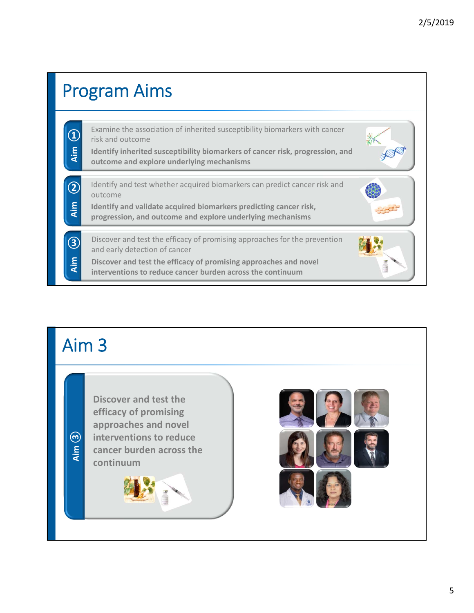

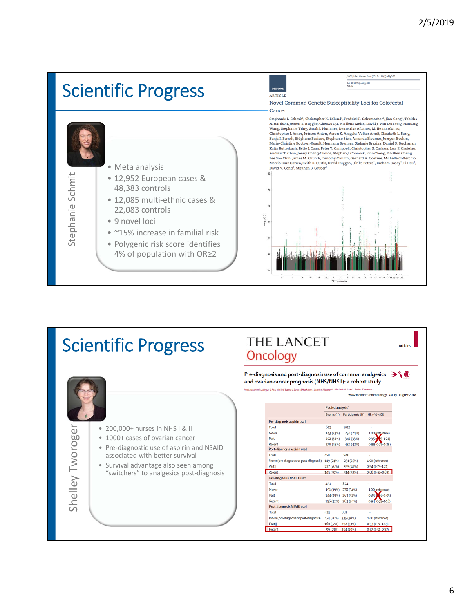

- 22,083 controls
- 9 novel loci
- ~15% increase in familial risk
- Polygenic risk score identifies 4% of population with OR≥2

### JNCI J Natl Cancer Inst (2019) 111(2): djy099 dol: 10.1093/jnci/djy099<br>Article **OXFOR** ARTICLE Novel Common Genetic Susceptibility Loci for Colorectal Cancer Stephanie L. Schmit\*, Christopher K. Edlund\*, Fredrick R. Schumacher\*, Jian Gong\*, Tabitha A. Harrison, Jeroen R. Huyghe, Chenxu Qu, Marilena Melas, David J. Van Den Berg, Hansong Wang, Stephanie Tring, Sarah J. Plummer, Demetrius Albanes, M. Henar Alonso, Christopher I. Amos, Kristen Anton, Aaron K. Aragaki, Vo Sonja I. Berndt, Stéphane Bezieau, Stephanie Bien, Amanda Bloomer, Juergen Boehm,<br>Marie-Christine Boutron-Ruault, Hermann Brenner, Stefanie Brezina, Daniel D. Bucha Andre William Bretter Design and Technical Company, including the Rain Butterbach, Bette J. Caan, Peter T. Campbell, Christopher S. Carlson, Jose E. Castelao, Andrew T. Chan, Jenny Chang-Claude, Stephen J. Chancock, Iona C Marcia Cruz Correa, Keith R. Curtis, David Duggan, Ulrike Peters<sup>†</sup>, Graham Casey<sup>†</sup>, Li Hsu<sup>†</sup>, David V. Conti<sup>†</sup>, Stephen B. Gruber

 $rac{7}{C}$ 



#### 6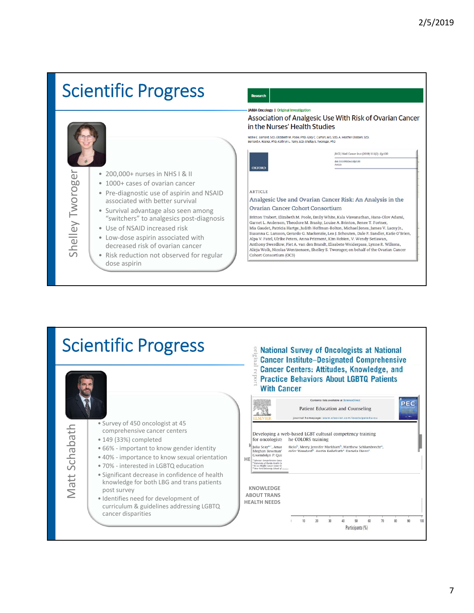



7